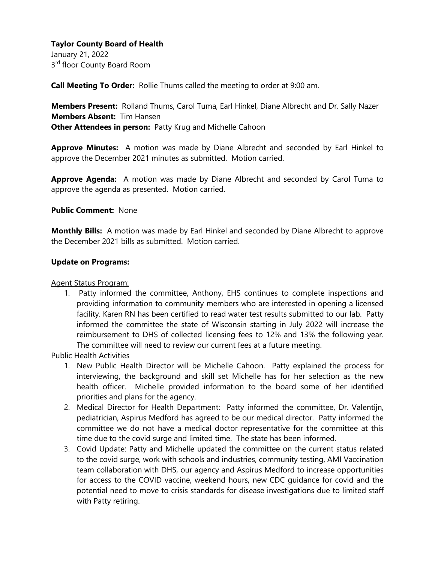# **Taylor County Board of Health**

January 21, 2022 3<sup>rd</sup> floor County Board Room

**Call Meeting To Order:** Rollie Thums called the meeting to order at 9:00 am.

**Members Present:** Rolland Thums, Carol Tuma, Earl Hinkel, Diane Albrecht and Dr. Sally Nazer **Members Absent:** Tim Hansen **Other Attendees in person:** Patty Krug and Michelle Cahoon

**Approve Minutes:** A motion was made by Diane Albrecht and seconded by Earl Hinkel to approve the December 2021 minutes as submitted. Motion carried.

**Approve Agenda:** A motion was made by Diane Albrecht and seconded by Carol Tuma to approve the agenda as presented. Motion carried.

## **Public Comment:** None

**Monthly Bills:** A motion was made by Earl Hinkel and seconded by Diane Albrecht to approve the December 2021 bills as submitted. Motion carried.

### **Update on Programs:**

#### Agent Status Program:

1. Patty informed the committee, Anthony, EHS continues to complete inspections and providing information to community members who are interested in opening a licensed facility. Karen RN has been certified to read water test results submitted to our lab. Patty informed the committee the state of Wisconsin starting in July 2022 will increase the reimbursement to DHS of collected licensing fees to 12% and 13% the following year. The committee will need to review our current fees at a future meeting.

Public Health Activities

- 1. New Public Health Director will be Michelle Cahoon. Patty explained the process for interviewing, the background and skill set Michelle has for her selection as the new health officer. Michelle provided information to the board some of her identified priorities and plans for the agency.
- 2. Medical Director for Health Department: Patty informed the committee, Dr. Valentijn, pediatrician, Aspirus Medford has agreed to be our medical director. Patty informed the committee we do not have a medical doctor representative for the committee at this time due to the covid surge and limited time. The state has been informed.
- 3. Covid Update: Patty and Michelle updated the committee on the current status related to the covid surge, work with schools and industries, community testing, AMI Vaccination team collaboration with DHS, our agency and Aspirus Medford to increase opportunities for access to the COVID vaccine, weekend hours, new CDC guidance for covid and the potential need to move to crisis standards for disease investigations due to limited staff with Patty retiring.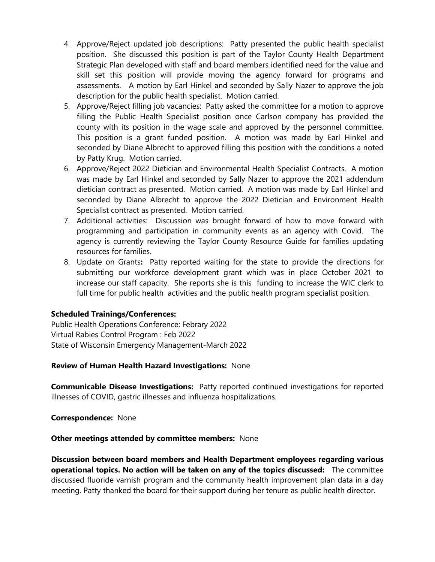- 4. Approve/Reject updated job descriptions: Patty presented the public health specialist position. She discussed this position is part of the Taylor County Health Department Strategic Plan developed with staff and board members identified need for the value and skill set this position will provide moving the agency forward for programs and assessments. A motion by Earl Hinkel and seconded by Sally Nazer to approve the job description for the public health specialist. Motion carried.
- 5. Approve/Reject filling job vacancies: Patty asked the committee for a motion to approve filling the Public Health Specialist position once Carlson company has provided the county with its position in the wage scale and approved by the personnel committee. This position is a grant funded position. A motion was made by Earl Hinkel and seconded by Diane Albrecht to approved filling this position with the conditions a noted by Patty Krug. Motion carried.
- 6. Approve/Reject 2022 Dietician and Environmental Health Specialist Contracts. A motion was made by Earl Hinkel and seconded by Sally Nazer to approve the 2021 addendum dietician contract as presented. Motion carried. A motion was made by Earl Hinkel and seconded by Diane Albrecht to approve the 2022 Dietician and Environment Health Specialist contract as presented. Motion carried.
- 7. Additional activities: Discussion was brought forward of how to move forward with programming and participation in community events as an agency with Covid. The agency is currently reviewing the Taylor County Resource Guide for families updating resources for families.
- 8. Update on Grants**:** Patty reported waiting for the state to provide the directions for submitting our workforce development grant which was in place October 2021 to increase our staff capacity. She reports she is this funding to increase the WIC clerk to full time for public health activities and the public health program specialist position.

# **Scheduled Trainings/Conferences:**

Public Health Operations Conference: Febrary 2022 Virtual Rabies Control Program : Feb 2022 State of Wisconsin Emergency Management-March 2022

## **Review of Human Health Hazard Investigations:** None

**Communicable Disease Investigations:** Patty reported continued investigations for reported illnesses of COVID, gastric illnesses and influenza hospitalizations.

**Correspondence:** None

#### **Other meetings attended by committee members:** None

**Discussion between board members and Health Department employees regarding various operational topics. No action will be taken on any of the topics discussed:** The committee discussed fluoride varnish program and the community health improvement plan data in a day meeting. Patty thanked the board for their support during her tenure as public health director.